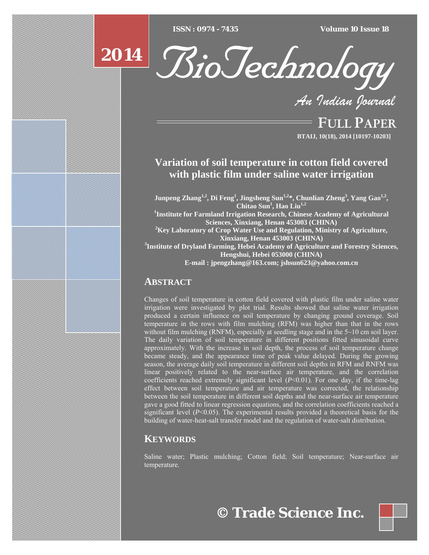$\overline{ISSN} : 0974 - 7435$ 

*ISSN : 0974 - 7435 Volume 10 Issue 18*



BioTechnology

*An Indian Journal*

FULL PAPER **BTAIJ, 10(18), 2014 [10197-10203]**

# **Variation of soil temperature in cotton field covered with plastic film under saline water irrigation**

**Junpeng Zhang1,2, Di Feng1 , Jingsheng Sun1,2\*, Chunlian Zheng3 , Yang Gao1,2, Chitao Sun<sup>1</sup> , Hao Liu1,2 1 Institute for Farmland Irrigation Research, Chinese Academy of Agricultural Sciences, Xinxiang, Henan 453003 (CHINA) 2 Key Laboratory of Crop Water Use and Regulation, Ministry of Agriculture, Xinxiang, Henan 453003 (CHINA) 3 Institute of Dryland Farming, Hebei Academy of Agriculture and Forestry Sciences, Hengshui, Hebei 053000 (CHINA) E-mail : jpengzhang@163.com; jshsun623@yahoo.com.cn**

## **ABSTRACT**

Changes of soil temperature in cotton field covered with plastic film under saline water irrigation were investigated by plot trial. Results showed that saline water irrigation produced a certain influence on soil temperature by changing ground coverage. Soil temperature in the rows with film mulching (RFM) was higher than that in the rows without film mulching (RNFM), especially at seedling stage and in the 5~10 cm soil layer. The daily variation of soil temperature in different positions fitted sinusoidal curve approximately. With the increase in soil depth, the process of soil temperature change became steady, and the appearance time of peak value delayed. During the growing season, the average daily soil temperature in different soil depths in RFM and RNFM was linear positively related to the near-surface air temperature, and the correlation coefficients reached extremely significant level  $(P<0.01)$ . For one day, if the time-lag effect between soil temperature and air temperature was corrected, the relationship between the soil temperature in different soil depths and the near-surface air temperature gave a good fitted to linear regression equations, and the correlation coefficients reached a significant level  $(P<0.05)$ . The experimental results provided a theoretical basis for the building of water-heat-salt transfer model and the regulation of water-salt distribution.

## **KEYWORDS**

Saline water; Plastic mulching; Cotton field; Soil temperature; Near-surface air temperature.

**© Trade Science Inc.**

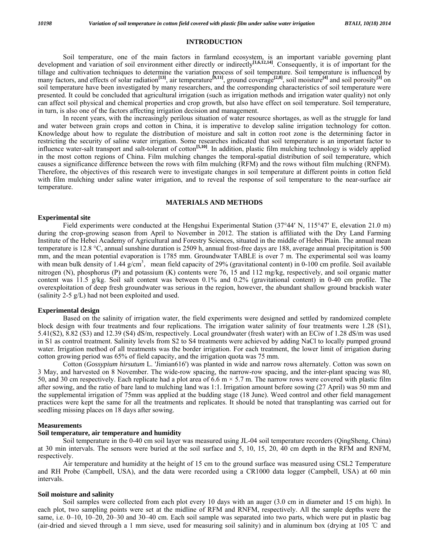## **INTRODUCTION**

 Soil temperature, one of the main factors in farmland ecosystem, is an important variable governing plant development and variation of soil environment either directly or indirectly<sup>[1,6,12,14]</sup>. Consequently, it is of important for the tillage and cultivation techniques to determine the variation process of soil temperature. Soil temperature is influenced by many factors, and effects of solar radiation**[13]**, air temperature**[9,11]**, ground coverage**[2,8]**, soil moisture**[4]** and soil porosity**[3]** on soil temperature have been investigated by many researchers, and the corresponding characteristics of soil temperature were presented. It could be concluded that agricultural irrigation (such as irrigation methods and irrigation water quality) not only can affect soil physical and chemical properties and crop growth, but also have effect on soil temperature. Soil temperature, in turn, is also one of the factors affecting irrigation decision and management.

 In recent years, with the increasingly perilous situation of water resource shortages, as well as the struggle for land and water between grain crops and cotton in China, it is imperative to develop saline irrigation technology for cotton. Knowledge about how to regulate the distribution of moisture and salt in cotton root zone is the determining factor in restricting the security of saline water irrigation. Some researches indicated that soil temperature is an important factor to influence water-salt transport and salt-tolerant of cotton**[5,10]**. In addition, plastic film mulching technology is widely applied in the most cotton regions of China. Film mulching changes the temporal-spatial distribution of soil temperature, which causes a significance difference between the rows with film mulching (RFM) and the rows without film mulching (RNFM). Therefore, the objectives of this research were to investigate changes in soil temperature at different points in cotton field with film mulching under saline water irrigation, and to reveal the response of soil temperature to the near-surface air temperature.

#### **MATERIALS AND METHODS**

#### **Experimental site**

 Field experiments were conducted at the Hengshui Experimental Station (37°44′ N, 115°47′ E, elevation 21.0 m) during the crop-growing season from April to November in 2012. The station is affiliated with the Dry Land Farming Institute of the Hebei Academy of Agricultural and Forestry Sciences, situated in the middle of Hebei Plain. The annual mean temperature is 12.8 °C, annual sunshine duration is 2509 h, annual frost-free days are 188, average annual precipitation is 500 mm, and the mean potential evaporation is 1785 mm. Groundwater TABLE is over 7 m. The experimental soil was loamy with mean bulk density of 1.44 g/cm<sup>3</sup>, mean field capacity of 29% (gravitational content) in 0-100 cm profile. Soil available nitrogen (N), phosphorus (P) and potassium (K) contents were 76, 15 and 112 mg/kg, respectively, and soil organic matter content was 11.5 g/kg. Soil salt content was between 0.1% and 0.2% (gravitational content) in 0-40 cm profile. The overexploitation of deep fresh groundwater was serious in the region, however, the abundant shallow ground brackish water (salinity 2-5 g/L) had not been exploited and used.

#### **Experimental design**

 Based on the salinity of irrigation water, the field experiments were designed and settled by randomized complete block design with four treatments and four replications. The irrigation water salinity of four treatments were 1.28 (S1), 5.41(S2), 8.82 (S3) and 12.39 (S4) dS/m, respectively. Local groundwater (fresh water) with an ECiw of 1.28 dS/m was used in S1 as control treatment. Salinity levels from S2 to S4 treatments were achieved by adding NaCl to locally pumped ground water. Irrigation method of all treatments was the border irrigation. For each treatment, the lower limit of irrigation during cotton growing period was 65% of field capacity, and the irrigation quota was 75 mm.

 Cotton (*Gossypium hirsutum* L. 'Jimian616') was planted in wide and narrow rows alternately. Cotton was sown on 3 May, and harvested on 8 November. The wide-row spacing, the narrow-row spacing, and the inter-plant spacing was 80, 50, and 30 cm respectively. Each replicate had a plot area of 6.6 m  $\times$  5.7 m. The narrow rows were covered with plastic film after sowing, and the ratio of bare land to mulching land was 1:1. Irrigation amount before sowing (27 April) was 50 mm and the supplemental irrigation of 75mm was applied at the budding stage (18 June). Weed control and other field management practices were kept the same for all the treatments and replicates. It should be noted that transplanting was carried out for seedling missing places on 18 days after sowing.

#### **Measurements**

#### **Soil temperature, air temperature and humidity**

 Soil temperature in the 0-40 cm soil layer was measured using JL-04 soil temperature recorders (QingSheng, China) at 30 min intervals. The sensors were buried at the soil surface and 5, 10, 15, 20, 40 cm depth in the RFM and RNFM, respectively.

 Air temperature and humidity at the height of 15 cm to the ground surface was measured using CSL2 Temperature and RH Probe (Campbell, USA), and the data were recorded using a CR1000 data logger (Campbell, USA) at 60 min intervals.

#### **Soil moisture and salinity**

 Soil samples were collected from each plot every 10 days with an auger (3.0 cm in diameter and 15 cm high). In each plot, two sampling points were set at the midline of RFM and RNFM, respectively. All the sample depths were the same, i.e. 0–10, 10–20, 20–30 and 30–40 cm. Each soil sample was separated into two parts, which were put in plastic bag (air-dried and sieved through a 1 mm sieve, used for measuring soil salinity) and in aluminum box (drying at 105 ℃ and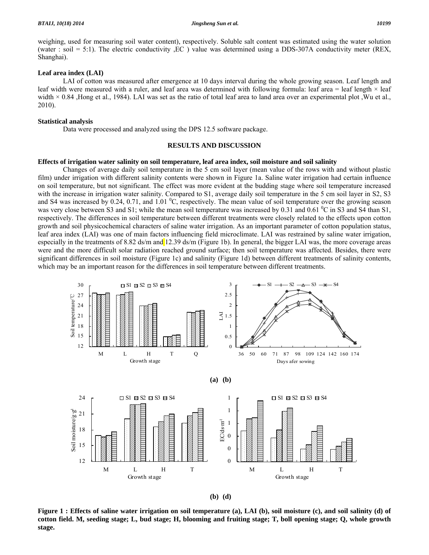weighing, used for measuring soil water content), respectively. Soluble salt content was estimated using the water solution (water : soil = 5:1). The electric conductivity , EC ) value was determined using a DDS-307A conductivity meter (REX, Shanghai).

## **Leaf area index (LAI)**

 LAI of cotton was measured after emergence at 10 days interval during the whole growing season. Leaf length and leaf width were measured with a ruler, and leaf area was determined with following formula: leaf area = leaf length  $\times$  leaf width  $\times$  0.84 , Hong et al., 1984). LAI was set as the ratio of total leaf area to land area over an experimental plot . Wu et al., 2010).

#### **Statistical analysis**

Data were processed and analyzed using the DPS 12.5 software package.

#### **RESULTS AND DISCUSSION**

#### **Effects of irrigation water salinity on soil temperature, leaf area index, soil moisture and soil salinity**

 Changes of average daily soil temperature in the 5 cm soil layer (mean value of the rows with and without plastic film) under irrigation with different salinity contents were shown in Figure 1a. Saline water irrigation had certain influence on soil temperature, but not significant. The effect was more evident at the budding stage where soil temperature increased with the increase in irrigation water salinity. Compared to S1, average daily soil temperature in the 5 cm soil layer in S2, S3 and S4 was increased by 0.24, 0.71, and 1.01  $^0C$ , respectively. The mean value of soil temperature over the growing season was very close between S3 and S1; while the mean soil temperature was increased by 0.31 and 0.61 <sup>0</sup>C in S3 and S4 than S1, respectively. The differences in soil temperature between different treatments were closely related to the effects upon cotton growth and soil physicochemical characters of saline water irrigation. As an important parameter of cotton population status, leaf area index (LAI) was one of main factors influencing field microclimate. LAI was restrained by saline water irrigation, especially in the treatments of 8.82 ds/m and  $12.39$  ds/m (Figure 1b). In general, the bigger LAI was, the more coverage areas were and the more difficult solar radiation reached ground surface; then soil temperature was affected. Besides, there were significant differences in soil moisture (Figure 1c) and salinity (Figure 1d) between different treatments of salinity contents, which may be an important reason for the differences in soil temperature between different treatments.



**(b) (d)** 

**Figure 1 : Effects of saline water irrigation on soil temperature (a), LAI (b), soil moisture (c), and soil salinity (d) of cotton field. M, seeding stage; L, bud stage; H, blooming and fruiting stage; T, boll opening stage; Q, whole growth stage.**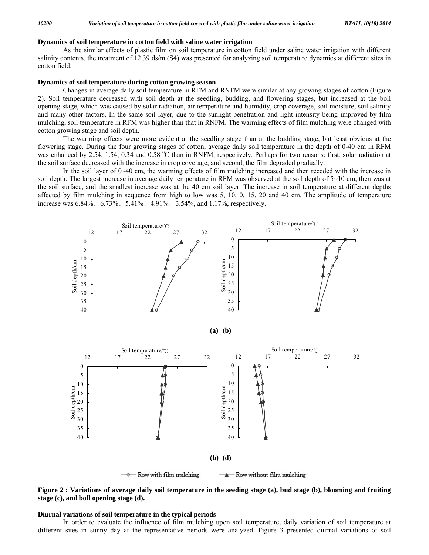### **Dynamics of soil temperature in cotton field with saline water irrigation**

 As the similar effects of plastic film on soil temperature in cotton field under saline water irrigation with different salinity contents, the treatment of 12.39 ds/m (S4) was presented for analyzing soil temperature dynamics at different sites in cotton field.

## **Dynamics of soil temperature during cotton growing season**

 Changes in average daily soil temperature in RFM and RNFM were similar at any growing stages of cotton (Figure 2). Soil temperature decreased with soil depth at the seedling, budding, and flowering stages, but increased at the boll opening stage, which was caused by solar radiation, air temperature and humidity, crop coverage, soil moisture, soil salinity and many other factors. In the same soil layer, due to the sunlight penetration and light intensity being improved by film mulching, soil temperature in RFM was higher than that in RNFM. The warming effects of film mulching were changed with cotton growing stage and soil depth.

 The warming effects were more evident at the seedling stage than at the budding stage, but least obvious at the flowering stage. During the four growing stages of cotton, average daily soil temperature in the depth of 0-40 cm in RFM was enhanced by 2.54, 1.54, 0.34 and 0.58 °C than in RNFM, respectively. Perhaps for two reasons: first, solar radiation at the soil surface decreased with the increase in crop coverage; and second, the film degraded gradually.

 In the soil layer of 0~40 cm, the warming effects of film mulching increased and then receded with the increase in soil depth. The largest increase in average daily temperature in RFM was observed at the soil depth of  $5~10$  cm, then was at the soil surface, and the smallest increase was at the 40 cm soil layer. The increase in soil temperature at different depths affected by film mulching in sequence from high to low was 5, 10, 0, 15, 20 and 40 cm. The amplitude of temperature increase was 6.84%、6.73%、5.41%、4.91%、3.54%, and 1.17%, respectively.



**Figure 2 : Variations of average daily soil temperature in the seeding stage (a), bud stage (b), blooming and fruiting stage (c), and boll opening stage (d).** 

### **Diurnal variations of soil temperature in the typical periods**

 In order to evaluate the influence of film mulching upon soil temperature, daily variation of soil temperature at different sites in sunny day at the representative periods were analyzed. Figure 3 presented diurnal variations of soil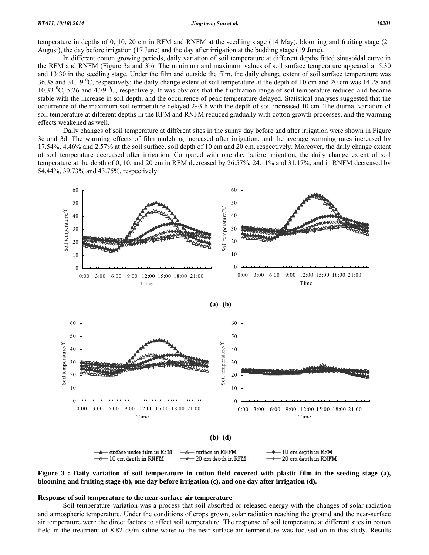temperature in depths of 0, 10, 20 cm in RFM and RNFM at the seedling stage (14 May), blooming and fruiting stage (21 August), the day before irrigation (17 June) and the day after irrigation at the budding stage (19 June).

 In different cotton growing periods, daily variation of soil temperature at different depths fitted sinusoidal curve in the RFM and RNFM (Figure 3a and 3b). The minimum and maximum values of soil surface temperature appeared at 5:30 and 13:30 in the seedling stage. Under the film and outside the film, the daily change extent of soil surface temperature was 36.38 and 31.19 <sup>o</sup>C, respectively; the daily change extent of soil temperature at the depth of 10 cm and 20 cm was 14.28 and 10.33  $^{\circ}$ C, 5.26 and 4.79  $^{\circ}$ C, respectively. It was obvious that the fluctuation range of soil temperature reduced and became stable with the increase in soil depth, and the occurrence of peak temperature delayed. Statistical analyses suggested that the occurrence of the maximum soil temperature delayed  $2~3$  h with the depth of soil increased 10 cm. The diurnal variation of soil temperature at different depths in the RFM and RNFM reduced gradually with cotton growth processes, and the warming effects weakened as well.

 Daily changes of soil temperature at different sites in the sunny day before and after irrigation were shown in Figure 3c and 3d. The warming effects of film mulching increased after irrigation, and the average warming rates increased by 17.54%, 4.46% and 2.57% at the soil surface, soil depth of 10 cm and 20 cm, respectively. Moreover, the daily change extent of soil temperature decreased after irrigation. Compared with one day before irrigation, the daily change extent of soil temperature at the depth of 0, 10, and 20 cm in RFM decreased by 26.57%, 24.11% and 31.17%, and in RNFM decreased by 54.44%, 39.73% and 43.75%, respectively.



**Figure 3 : Daily variation of soil temperature in cotton field covered with plastic film in the seeding stage (a), blooming and fruiting stage (b), one day before irrigation (c), and one day after irrigation (d).** 

#### **Response of soil temperature to the near-surface air temperature**

 Soil temperature variation was a process that soil absorbed or released energy with the changes of solar radiation and atmospheric temperature. Under the conditions of crops grown, solar radiation reaching the ground and the near-surface air temperature were the direct factors to affect soil temperature. The response of soil temperature at different sites in cotton field in the treatment of 8.82 ds/m saline water to the near-surface air temperature was focused on in this study. Results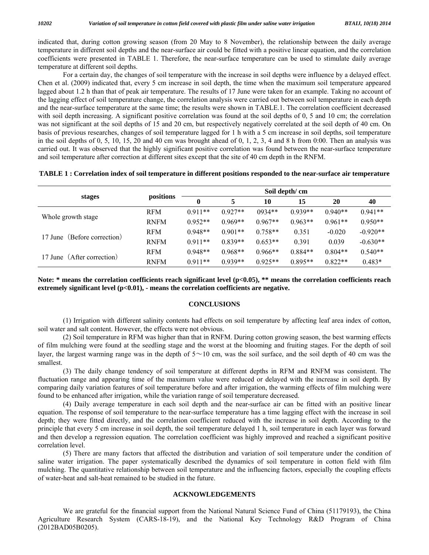indicated that, during cotton growing season (from 20 May to 8 November), the relationship between the daily average temperature in different soil depths and the near-surface air could be fitted with a positive linear equation, and the correlation coefficients were presented in TABLE 1. Therefore, the near-surface temperature can be used to stimulate daily average temperature at different soil depths.

 For a certain day, the changes of soil temperature with the increase in soil depths were influence by a delayed effect. Chen et al. (2009) indicated that, every 5 cm increase in soil depth, the time when the maximum soil temperature appeared lagged about 1.2 h than that of peak air temperature. The results of 17 June were taken for an example. Taking no account of the lagging effect of soil temperature change, the correlation analysis were carried out between soil temperature in each depth and the near-surface temperature at the same time; the results were shown in TABLE.1. The correlation coefficient decreased with soil depth increasing. A significant positive correlation was found at the soil depths of 0, 5 and 10 cm; the correlation was not significant at the soil depths of 15 and 20 cm, but respectively negatively correlated at the soil depth of 40 cm. On basis of previous researches, changes of soil temperature lagged for 1 h with a 5 cm increase in soil depths, soil temperature in the soil depths of  $0, 5, 10, 15, 20$  and 40 cm was brought ahead of  $0, 1, 2, 3, 4$  and 8 h from 0:00. Then an analysis was carried out. It was observed that the highly significant positive correlation was found between the near-surface temperature and soil temperature after correction at different sites except that the site of 40 cm depth in the RNFM.

## **TABLE 1 : Correlation index of soil temperature in different positions responded to the near-surface air temperature**

| stages                      | positions   | Soil depth/cm |           |           |           |           |            |
|-----------------------------|-------------|---------------|-----------|-----------|-----------|-----------|------------|
|                             |             | $\mathbf{0}$  |           | 10        | 15        | 20        | 40         |
| Whole growth stage          | <b>RFM</b>  | $0.911**$     | $0.927**$ | $0934**$  | $0.939**$ | $0.940**$ | $0.941**$  |
|                             | <b>RNFM</b> | $0.952**$     | $0.969**$ | $0.967**$ | $0.963**$ | $0.961**$ | $0.950**$  |
| 17 June (Before correction) | <b>RFM</b>  | $0.948**$     | $0.901**$ | $0.758**$ | 0.351     | $-0.020$  | $-0.920**$ |
|                             | <b>RNFM</b> | $0.911**$     | $0.839**$ | $0.653**$ | 0.391     | 0.039     | $-0.630**$ |
| 17 June (After correction)  | <b>RFM</b>  | $0.948**$     | $0.968**$ | $0.966**$ | $0.884**$ | $0.804**$ | $0.540**$  |
|                             | <b>RNFM</b> | $0.911**$     | $0.939**$ | $0.925**$ | $0.895**$ | $0.822**$ | $0.483*$   |

Note: \* means the correlation coefficients reach significant level (p<0.05), \*\* means the correlation coefficients reach extremely significant level ( $p<0.01$ ), - means the correlation coefficients are negative.

## **CONCLUSIONS**

 (1) Irrigation with different salinity contents had effects on soil temperature by affecting leaf area index of cotton, soil water and salt content. However, the effects were not obvious.

 (2) Soil temperature in RFM was higher than that in RNFM. During cotton growing season, the best warming effects of film mulching were found at the seedling stage and the worst at the blooming and fruiting stages. For the depth of soil layer, the largest warming range was in the depth of  $5 \sim 10$  cm, was the soil surface, and the soil depth of 40 cm was the smallest.

 (3) The daily change tendency of soil temperature at different depths in RFM and RNFM was consistent. The fluctuation range and appearing time of the maximum value were reduced or delayed with the increase in soil depth. By comparing daily variation features of soil temperature before and after irrigation, the warming effects of film mulching were found to be enhanced after irrigation, while the variation range of soil temperature decreased.

 (4) Daily average temperature in each soil depth and the near-surface air can be fitted with an positive linear equation. The response of soil temperature to the near-surface temperature has a time lagging effect with the increase in soil depth; they were fitted directly, and the correlation coefficient reduced with the increase in soil depth. According to the principle that every 5 cm increase in soil depth, the soil temperature delayed 1 h, soil temperature in each layer was forward and then develop a regression equation. The correlation coefficient was highly improved and reached a significant positive correlation level.

 (5) There are many factors that affected the distribution and variation of soil temperature under the condition of saline water irrigation. The paper systematically described the dynamics of soil temperature in cotton field with film mulching. The quantitative relationship between soil temperature and the influencing factors, especially the coupling effects of water-heat and salt-heat remained to be studied in the future.

## **ACKNOWLEDGEMENTS**

 We are grateful for the financial support from the National Natural Science Fund of China (51179193), the China Agriculture Research System (CARS-18-19), and the National Key Technology R&D Program of China (2012BAD05B0205).